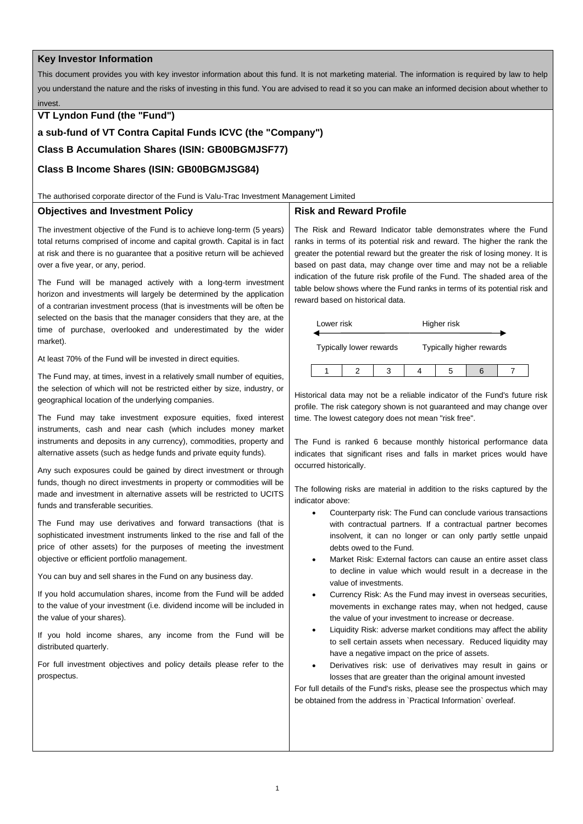# **Key Investor Information**

This document provides you with key investor information about this fund. It is not marketing material. The information is required by law to help you understand the nature and the risks of investing in this fund. You are advised to read it so you can make an informed decision about whether to invest.

# **VT Lyndon Fund (the "Fund")**

**a sub-fund of VT Contra Capital Funds ICVC (the "Company")**

**Class B Accumulation Shares (ISIN: GB00BGMJSF77)**

# **Class B Income Shares (ISIN: GB00BGMJSG84)**

#### The authorised corporate director of the Fund is Valu-Trac Investment Management Limited

## **Objectives and Investment Policy**

# **Risk and Reward Profile**

The investment objective of the Fund is to achieve long-term (5 years) total returns comprised of income and capital growth. Capital is in fact at risk and there is no guarantee that a positive return will be achieved over a five year, or any, period.

The Fund will be managed actively with a long-term investment horizon and investments will largely be determined by the application of a contrarian investment process (that is investments will be often be selected on the basis that the manager considers that they are, at the time of purchase, overlooked and underestimated by the wider market).

At least 70% of the Fund will be invested in direct equities.

The Fund may, at times, invest in a relatively small number of equities, the selection of which will not be restricted either by size, industry, or geographical location of the underlying companies.

The Fund may take investment exposure equities, fixed interest instruments, cash and near cash (which includes money market instruments and deposits in any currency), commodities, property and alternative assets (such as hedge funds and private equity funds).

Any such exposures could be gained by direct investment or through funds, though no direct investments in property or commodities will be made and investment in alternative assets will be restricted to UCITS funds and transferable securities.

The Fund may use derivatives and forward transactions (that is sophisticated investment instruments linked to the rise and fall of the price of other assets) for the purposes of meeting the investment objective or efficient portfolio management.

You can buy and sell shares in the Fund on any business day.

If you hold accumulation shares, income from the Fund will be added to the value of your investment (i.e. dividend income will be included in the value of your shares).

If you hold income shares, any income from the Fund will be distributed quarterly.

For full investment objectives and policy details please refer to the prospectus.

The Risk and Reward Indicator table demonstrates where the Fund ranks in terms of its potential risk and reward. The higher the rank the greater the potential reward but the greater the risk of losing money. It is based on past data, may change over time and may not be a reliable indication of the future risk profile of the Fund. The shaded area of the table below shows where the Fund ranks in terms of its potential risk and reward based on historical data.

| Lower risk                     |  |                          | Higher risk |   |  |  |
|--------------------------------|--|--------------------------|-------------|---|--|--|
| <b>Typically lower rewards</b> |  | Typically higher rewards |             |   |  |  |
|                                |  |                          |             | 5 |  |  |

Historical data may not be a reliable indicator of the Fund's future risk profile. The risk category shown is not guaranteed and may change over time. The lowest category does not mean "risk free".

The Fund is ranked 6 because monthly historical performance data indicates that significant rises and falls in market prices would have occurred historically.

The following risks are material in addition to the risks captured by the indicator above:

- Counterparty risk: The Fund can conclude various transactions with contractual partners. If a contractual partner becomes insolvent, it can no longer or can only partly settle unpaid debts owed to the Fund.
- Market Risk: External factors can cause an entire asset class to decline in value which would result in a decrease in the value of investments.
- Currency Risk: As the Fund may invest in overseas securities, movements in exchange rates may, when not hedged, cause the value of your investment to increase or decrease.
- Liquidity Risk: adverse market conditions may affect the ability to sell certain assets when necessary. Reduced liquidity may have a negative impact on the price of assets.
- Derivatives risk: use of derivatives may result in gains or losses that are greater than the original amount invested

For full details of the Fund's risks, please see the prospectus which may be obtained from the address in `Practical Information` overleaf.